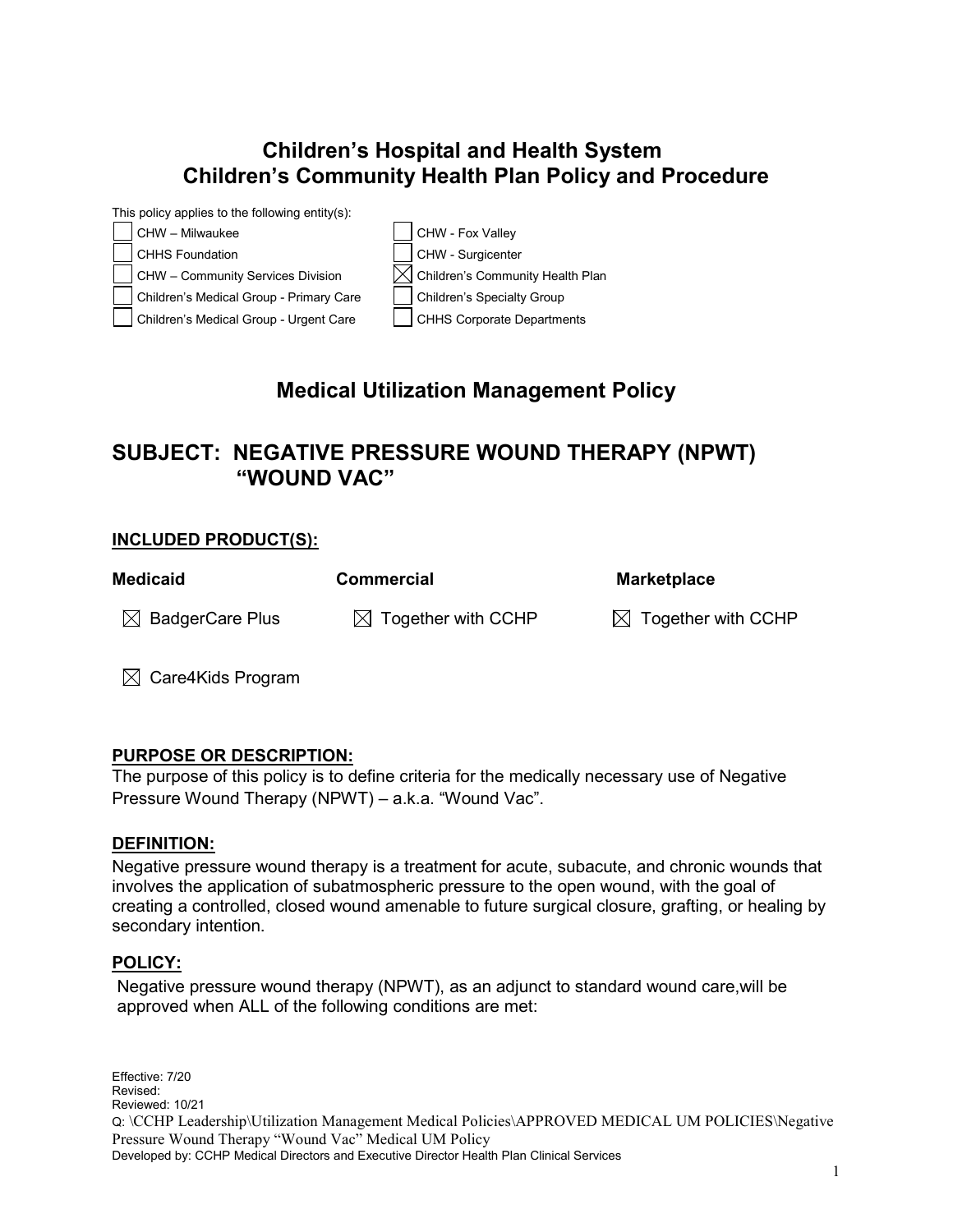## **Children's Hospital and Health System Children's Community Health Plan Policy and Procedure**



# **Medical Utilization Management Policy**

## **SUBJECT: NEGATIVE PRESSURE WOUND THERAPY (NPWT) "WOUND VAC"**

### **INCLUDED PRODUCT(S):**

| <b>Medicaid</b>             | <b>Commercial</b>              | <b>Marketplace</b>             |
|-----------------------------|--------------------------------|--------------------------------|
| $\boxtimes$ BadgerCare Plus | $\boxtimes$ Together with CCHP | $\boxtimes$ Together with CCHP |

 $\boxtimes$  Care4Kids Program

### **PURPOSE OR DESCRIPTION:**

The purpose of this policy is to define criteria for the medically necessary use of Negative Pressure Wound Therapy (NPWT) – a.k.a. "Wound Vac".

#### **DEFINITION:**

Negative pressure wound therapy is a treatment for acute, subacute, and chronic wounds that involves the application of subatmospheric pressure to the open wound, with the goal of creating a controlled, closed wound amenable to future surgical closure, grafting, or healing by secondary intention.

#### **POLICY:**

Negative pressure wound therapy (NPWT), as an adjunct to standard wound care,will be approved when ALL of the following conditions are met:

Effective: 7/20 Revised: Reviewed: 10/21 Q: \CCHP Leadership\Utilization Management Medical Policies\APPROVED MEDICAL UM POLICIES\Negative Pressure Wound Therapy "Wound Vac" Medical UM Policy Developed by: CCHP Medical Directors and Executive Director Health Plan Clinical Services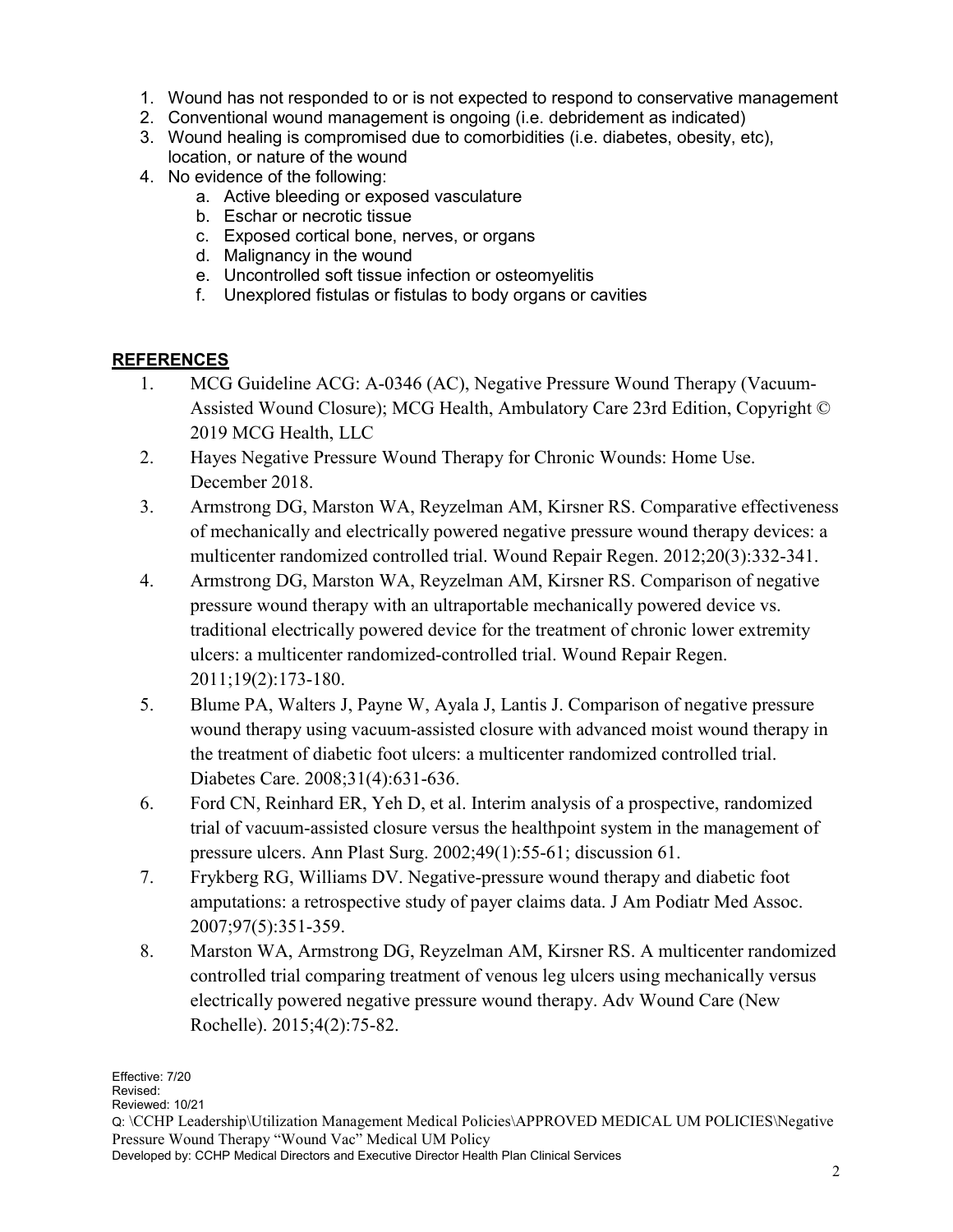- 1. Wound has not responded to or is not expected to respond to conservative management
- 2. Conventional wound management is ongoing (i.e. debridement as indicated)
- 3. Wound healing is compromised due to comorbidities (i.e. diabetes, obesity, etc), location, or nature of the wound
- 4. No evidence of the following:
	- a. Active bleeding or exposed vasculature
	- b. Eschar or necrotic tissue
	- c. Exposed cortical bone, nerves, or organs
	- d. Malignancy in the wound
	- e. Uncontrolled soft tissue infection or osteomyelitis
	- f. Unexplored fistulas or fistulas to body organs or cavities

## **REFERENCES**

- 1. MCG Guideline ACG: A-0346 (AC), Negative Pressure Wound Therapy (Vacuum-Assisted Wound Closure); MCG Health, Ambulatory Care 23rd Edition, Copyright © 2019 MCG Health, LLC
- 2. Hayes Negative Pressure Wound Therapy for Chronic Wounds: Home Use. December 2018.
- 3. Armstrong DG, Marston WA, Reyzelman AM, Kirsner RS. Comparative effectiveness of mechanically and electrically powered negative pressure wound therapy devices: a multicenter randomized controlled trial. Wound Repair Regen. 2012;20(3):332-341.
- 4. Armstrong DG, Marston WA, Reyzelman AM, Kirsner RS. Comparison of negative pressure wound therapy with an ultraportable mechanically powered device vs. traditional electrically powered device for the treatment of chronic lower extremity ulcers: a multicenter randomized-controlled trial. Wound Repair Regen. 2011;19(2):173-180.
- 5. Blume PA, Walters J, Payne W, Ayala J, Lantis J. Comparison of negative pressure wound therapy using vacuum-assisted closure with advanced moist wound therapy in the treatment of diabetic foot ulcers: a multicenter randomized controlled trial. Diabetes Care. 2008;31(4):631-636.
- 6. Ford CN, Reinhard ER, Yeh D, et al. Interim analysis of a prospective, randomized trial of vacuum-assisted closure versus the healthpoint system in the management of pressure ulcers. Ann Plast Surg. 2002;49(1):55-61; discussion 61.
- 7. Frykberg RG, Williams DV. Negative-pressure wound therapy and diabetic foot amputations: a retrospective study of payer claims data. J Am Podiatr Med Assoc. 2007;97(5):351-359.
- 8. Marston WA, Armstrong DG, Reyzelman AM, Kirsner RS. A multicenter randomized controlled trial comparing treatment of venous leg ulcers using mechanically versus electrically powered negative pressure wound therapy. Adv Wound Care (New Rochelle). 2015;4(2):75-82.